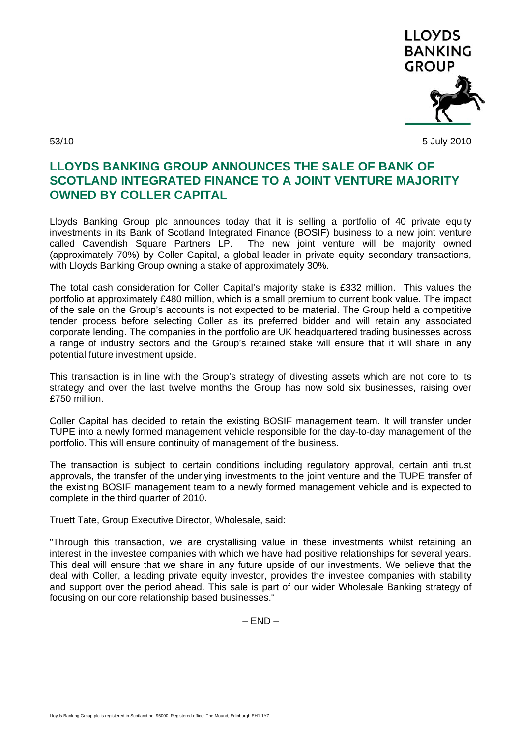

53/10 5 July 2010

## **LLOYDS BANKING GROUP ANNOUNCES THE SALE OF BANK OF SCOTLAND INTEGRATED FINANCE TO A JOINT VENTURE MAJORITY OWNED BY COLLER CAPITAL**

Lloyds Banking Group plc announces today that it is selling a portfolio of 40 private equity investments in its Bank of Scotland Integrated Finance (BOSIF) business to a new joint venture called Cavendish Square Partners LP. The new joint venture will be majority owned (approximately 70%) by Coller Capital, a global leader in private equity secondary transactions, with Lloyds Banking Group owning a stake of approximately 30%.

The total cash consideration for Coller Capital's majority stake is £332 million. This values the portfolio at approximately £480 million, which is a small premium to current book value. The impact of the sale on the Group's accounts is not expected to be material. The Group held a competitive tender process before selecting Coller as its preferred bidder and will retain any associated corporate lending. The companies in the portfolio are UK headquartered trading businesses across a range of industry sectors and the Group's retained stake will ensure that it will share in any potential future investment upside.

This transaction is in line with the Group's strategy of divesting assets which are not core to its strategy and over the last twelve months the Group has now sold six businesses, raising over £750 million.

Coller Capital has decided to retain the existing BOSIF management team. It will transfer under TUPE into a newly formed management vehicle responsible for the day-to-day management of the portfolio. This will ensure continuity of management of the business.

The transaction is subject to certain conditions including regulatory approval, certain anti trust approvals, the transfer of the underlying investments to the joint venture and the TUPE transfer of the existing BOSIF management team to a newly formed management vehicle and is expected to complete in the third quarter of 2010.

Truett Tate, Group Executive Director, Wholesale, said:

"Through this transaction, we are crystallising value in these investments whilst retaining an interest in the investee companies with which we have had positive relationships for several years. This deal will ensure that we share in any future upside of our investments. We believe that the deal with Coller, a leading private equity investor, provides the investee companies with stability and support over the period ahead. This sale is part of our wider Wholesale Banking strategy of focusing on our core relationship based businesses."

 $- FND -$